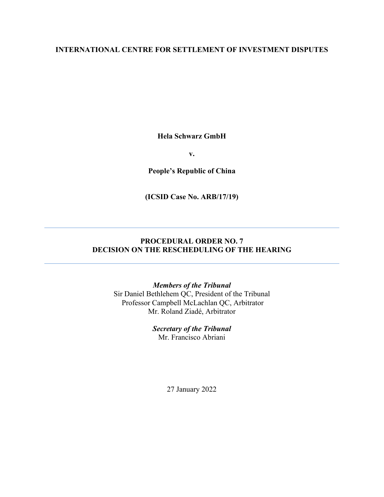#### **INTERNATIONAL CENTRE FOR SETTLEMENT OF INVESTMENT DISPUTES**

**Hela Schwarz GmbH**

**v.**

**People's Republic of China**

**(ICSID Case No. ARB/17/19)**

### **PROCEDURAL ORDER NO. 7 DECISION ON THE RESCHEDULING OF THE HEARING**

#### *Members of the Tribunal*

Sir Daniel Bethlehem QC, President of the Tribunal Professor Campbell McLachlan QC, Arbitrator Mr. Roland Ziadé, Arbitrator

> *Secretary of the Tribunal* Mr. Francisco Abriani

> > 27 January 2022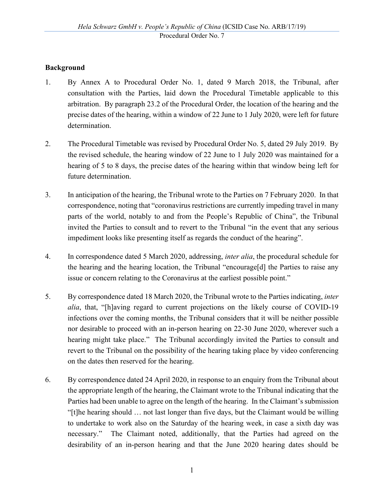### **Background**

- 1. By Annex A to Procedural Order No. 1, dated 9 March 2018, the Tribunal, after consultation with the Parties, laid down the Procedural Timetable applicable to this arbitration. By paragraph 23.2 of the Procedural Order, the location of the hearing and the precise dates of the hearing, within a window of 22 June to 1 July 2020, were left for future determination.
- 2. The Procedural Timetable was revised by Procedural Order No. 5, dated 29 July 2019. By the revised schedule, the hearing window of 22 June to 1 July 2020 was maintained for a hearing of 5 to 8 days, the precise dates of the hearing within that window being left for future determination.
- 3. In anticipation of the hearing, the Tribunal wrote to the Parties on 7 February 2020. In that correspondence, noting that "coronavirus restrictions are currently impeding travel in many parts of the world, notably to and from the People's Republic of China", the Tribunal invited the Parties to consult and to revert to the Tribunal "in the event that any serious impediment looks like presenting itself as regards the conduct of the hearing".
- 4. In correspondence dated 5 March 2020, addressing, *inter alia*, the procedural schedule for the hearing and the hearing location, the Tribunal "encourage[d] the Parties to raise any issue or concern relating to the Coronavirus at the earliest possible point."
- 5. By correspondence dated 18 March 2020, the Tribunal wrote to the Parties indicating, *inter alia*, that, "[h]aving regard to current projections on the likely course of COVID-19 infections over the coming months, the Tribunal considers that it will be neither possible nor desirable to proceed with an in-person hearing on 22-30 June 2020, wherever such a hearing might take place." The Tribunal accordingly invited the Parties to consult and revert to the Tribunal on the possibility of the hearing taking place by video conferencing on the dates then reserved for the hearing.
- 6. By correspondence dated 24 April 2020, in response to an enquiry from the Tribunal about the appropriate length of the hearing, the Claimant wrote to the Tribunal indicating that the Parties had been unable to agree on the length of the hearing. In the Claimant's submission "[t]he hearing should … not last longer than five days, but the Claimant would be willing to undertake to work also on the Saturday of the hearing week, in case a sixth day was necessary." The Claimant noted, additionally, that the Parties had agreed on the desirability of an in-person hearing and that the June 2020 hearing dates should be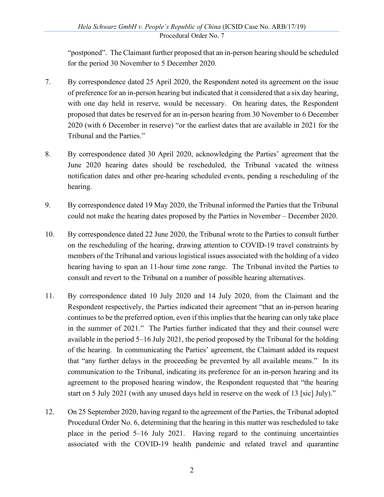"postponed". The Claimant further proposed that an in-person hearing should be scheduled for the period 30 November to 5 December 2020.

- 7. By correspondence dated 25 April 2020, the Respondent noted its agreement on the issue of preference for an in-person hearing but indicated that it considered that a six day hearing, with one day held in reserve, would be necessary. On hearing dates, the Respondent proposed that dates be reserved for an in-person hearing from 30 November to 6 December 2020 (with 6 December in reserve) "or the earliest dates that are available in 2021 for the Tribunal and the Parties."
- 8. By correspondence dated 30 April 2020, acknowledging the Parties' agreement that the June 2020 hearing dates should be rescheduled, the Tribunal vacated the witness notification dates and other pre-hearing scheduled events, pending a rescheduling of the hearing.
- 9. By correspondence dated 19 May 2020, the Tribunal informed the Parties that the Tribunal could not make the hearing dates proposed by the Parties in November – December 2020.
- 10. By correspondence dated 22 June 2020, the Tribunal wrote to the Parties to consult further on the rescheduling of the hearing, drawing attention to COVID-19 travel constraints by members of the Tribunal and various logistical issues associated with the holding of a video hearing having to span an 11-hour time zone range. The Tribunal invited the Parties to consult and revert to the Tribunal on a number of possible hearing alternatives.
- 11. By correspondence dated 10 July 2020 and 14 July 2020, from the Claimant and the Respondent respectively, the Parties indicated their agreement "that an in-person hearing continues to be the preferred option, even if this implies that the hearing can only take place in the summer of 2021." The Parties further indicated that they and their counsel were available in the period 5–16 July 2021, the period proposed by the Tribunal for the holding of the hearing. In communicating the Parties' agreement, the Claimant added its request that "any further delays in the proceeding be prevented by all available means." In its communication to the Tribunal, indicating its preference for an in-person hearing and its agreement to the proposed hearing window, the Respondent requested that "the hearing start on 5 July 2021 (with any unused days held in reserve on the week of 13 [sic] July)."
- 12. On 25 September 2020, having regard to the agreement of the Parties, the Tribunal adopted Procedural Order No. 6, determining that the hearing in this matter was rescheduled to take place in the period 5–16 July 2021. Having regard to the continuing uncertainties associated with the COVID-19 health pandemic and related travel and quarantine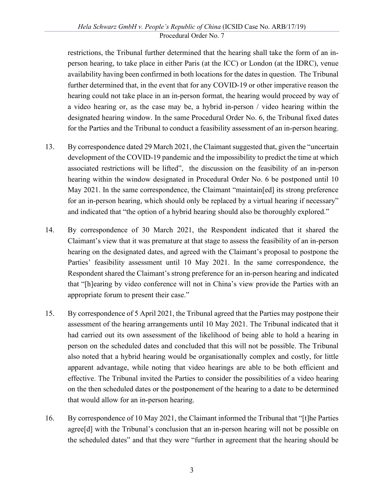restrictions, the Tribunal further determined that the hearing shall take the form of an inperson hearing, to take place in either Paris (at the ICC) or London (at the IDRC), venue availability having been confirmed in both locations for the dates in question. The Tribunal further determined that, in the event that for any COVID-19 or other imperative reason the hearing could not take place in an in-person format, the hearing would proceed by way of a video hearing or, as the case may be, a hybrid in-person / video hearing within the designated hearing window. In the same Procedural Order No. 6, the Tribunal fixed dates for the Parties and the Tribunal to conduct a feasibility assessment of an in-person hearing.

- 13. By correspondence dated 29 March 2021, the Claimant suggested that, given the "uncertain development of the COVID-19 pandemic and the impossibility to predict the time at which associated restrictions will be lifted", the discussion on the feasibility of an in-person hearing within the window designated in Procedural Order No. 6 be postponed until 10 May 2021. In the same correspondence, the Claimant "maintain[ed] its strong preference for an in-person hearing, which should only be replaced by a virtual hearing if necessary" and indicated that "the option of a hybrid hearing should also be thoroughly explored."
- 14. By correspondence of 30 March 2021, the Respondent indicated that it shared the Claimant's view that it was premature at that stage to assess the feasibility of an in-person hearing on the designated dates, and agreed with the Claimant's proposal to postpone the Parties' feasibility assessment until 10 May 2021. In the same correspondence, the Respondent shared the Claimant's strong preference for an in-person hearing and indicated that "[h]earing by video conference will not in China's view provide the Parties with an appropriate forum to present their case."
- 15. By correspondence of 5 April 2021, the Tribunal agreed that the Parties may postpone their assessment of the hearing arrangements until 10 May 2021. The Tribunal indicated that it had carried out its own assessment of the likelihood of being able to hold a hearing in person on the scheduled dates and concluded that this will not be possible. The Tribunal also noted that a hybrid hearing would be organisationally complex and costly, for little apparent advantage, while noting that video hearings are able to be both efficient and effective. The Tribunal invited the Parties to consider the possibilities of a video hearing on the then scheduled dates or the postponement of the hearing to a date to be determined that would allow for an in-person hearing.
- 16. By correspondence of 10 May 2021, the Claimant informed the Tribunal that "[t]he Parties agree[d] with the Tribunal's conclusion that an in-person hearing will not be possible on the scheduled dates" and that they were "further in agreement that the hearing should be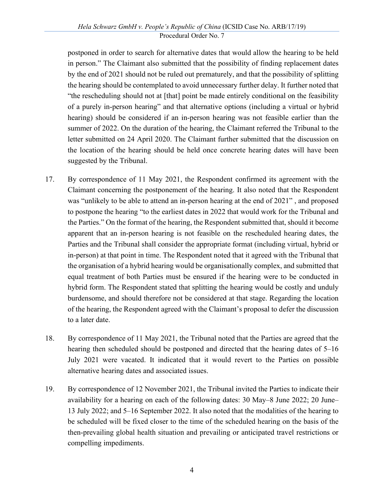postponed in order to search for alternative dates that would allow the hearing to be held in person." The Claimant also submitted that the possibility of finding replacement dates by the end of 2021 should not be ruled out prematurely, and that the possibility of splitting the hearing should be contemplated to avoid unnecessary further delay. It further noted that "the rescheduling should not at [that] point be made entirely conditional on the feasibility of a purely in-person hearing" and that alternative options (including a virtual or hybrid hearing) should be considered if an in-person hearing was not feasible earlier than the summer of 2022. On the duration of the hearing, the Claimant referred the Tribunal to the letter submitted on 24 April 2020. The Claimant further submitted that the discussion on the location of the hearing should be held once concrete hearing dates will have been suggested by the Tribunal.

- 17. By correspondence of 11 May 2021, the Respondent confirmed its agreement with the Claimant concerning the postponement of the hearing. It also noted that the Respondent was "unlikely to be able to attend an in-person hearing at the end of 2021" , and proposed to postpone the hearing "to the earliest dates in 2022 that would work for the Tribunal and the Parties." On the format of the hearing, the Respondent submitted that, should it become apparent that an in-person hearing is not feasible on the rescheduled hearing dates, the Parties and the Tribunal shall consider the appropriate format (including virtual, hybrid or in-person) at that point in time. The Respondent noted that it agreed with the Tribunal that the organisation of a hybrid hearing would be organisationally complex, and submitted that equal treatment of both Parties must be ensured if the hearing were to be conducted in hybrid form. The Respondent stated that splitting the hearing would be costly and unduly burdensome, and should therefore not be considered at that stage. Regarding the location of the hearing, the Respondent agreed with the Claimant's proposal to defer the discussion to a later date.
- 18. By correspondence of 11 May 2021, the Tribunal noted that the Parties are agreed that the hearing then scheduled should be postponed and directed that the hearing dates of 5–16 July 2021 were vacated. It indicated that it would revert to the Parties on possible alternative hearing dates and associated issues.
- 19. By correspondence of 12 November 2021, the Tribunal invited the Parties to indicate their availability for a hearing on each of the following dates: 30 May–8 June 2022; 20 June– 13 July 2022; and 5–16 September 2022. It also noted that the modalities of the hearing to be scheduled will be fixed closer to the time of the scheduled hearing on the basis of the then-prevailing global health situation and prevailing or anticipated travel restrictions or compelling impediments.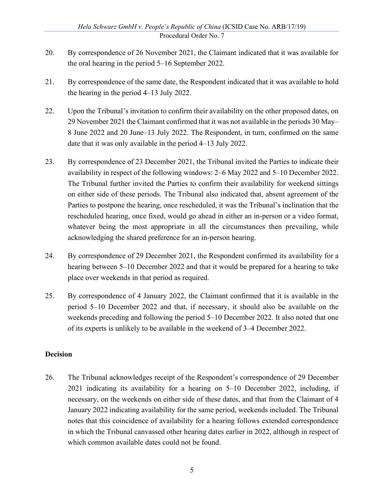- 20. By correspondence of 26 November 2021, the Claimant indicated that it was available for the oral hearing in the period 5–16 September 2022.
- 21. By correspondence of the same date, the Respondent indicated that it was available to hold the hearing in the period 4–13 July 2022.
- 22. Upon the Tribunal's invitation to confirm their availability on the other proposed dates, on 29 November 2021 the Claimant confirmed that it was not available in the periods 30 May– 8 June 2022 and 20 June–13 July 2022. The Respondent, in turn, confirmed on the same date that it was only available in the period 4–13 July 2022.
- 23. By correspondence of 23 December 2021, the Tribunal invited the Parties to indicate their availability in respect of the following windows: 2–6 May 2022 and 5–10 December 2022. The Tribunal further invited the Parties to confirm their availability for weekend sittings on either side of these periods. The Tribunal also indicated that, absent agreement of the Parties to postpone the hearing, once rescheduled, it was the Tribunal's inclination that the rescheduled hearing, once fixed, would go ahead in either an in-person or a video format, whatever being the most appropriate in all the circumstances then prevailing, while acknowledging the shared preference for an in-person hearing.
- 24. By correspondence of 29 December 2021, the Respondent confirmed its availability for a hearing between 5–10 December 2022 and that it would be prepared for a hearing to take place over weekends in that period as required.
- 25. By correspondence of 4 January 2022, the Claimant confirmed that it is available in the period 5–10 December 2022 and that, if necessary, it should also be available on the weekends preceding and following the period 5–10 December 2022. It also noted that one of its experts is unlikely to be available in the weekend of 3–4 December 2022.

#### **Decision**

26. The Tribunal acknowledges receipt of the Respondent's correspondence of 29 December 2021 indicating its availability for a hearing on 5–10 December 2022, including, if necessary, on the weekends on either side of these dates, and that from the Claimant of 4 January 2022 indicating availability for the same period, weekends included. The Tribunal notes that this coincidence of availability for a hearing follows extended correspondence in which the Tribunal canvassed other hearing dates earlier in 2022, although in respect of which common available dates could not be found.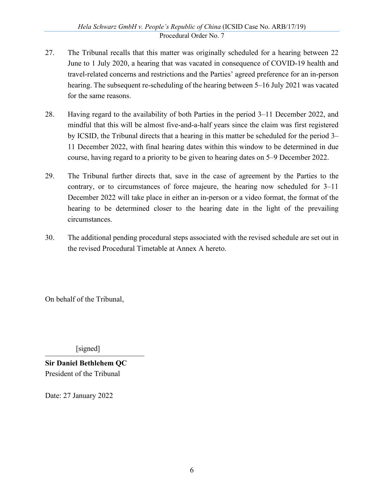- 27. The Tribunal recalls that this matter was originally scheduled for a hearing between 22 June to 1 July 2020, a hearing that was vacated in consequence of COVID-19 health and travel-related concerns and restrictions and the Parties' agreed preference for an in-person hearing. The subsequent re-scheduling of the hearing between 5–16 July 2021 was vacated for the same reasons.
- 28. Having regard to the availability of both Parties in the period 3–11 December 2022, and mindful that this will be almost five-and-a-half years since the claim was first registered by ICSID, the Tribunal directs that a hearing in this matter be scheduled for the period 3– 11 December 2022, with final hearing dates within this window to be determined in due course, having regard to a priority to be given to hearing dates on 5–9 December 2022.
- 29. The Tribunal further directs that, save in the case of agreement by the Parties to the contrary, or to circumstances of force majeure, the hearing now scheduled for 3–11 December 2022 will take place in either an in-person or a video format, the format of the hearing to be determined closer to the hearing date in the light of the prevailing circumstances.
- 30. The additional pending procedural steps associated with the revised schedule are set out in the revised Procedural Timetable at Annex A hereto.

On behalf of the Tribunal,

 $[signed]$ 

**Sir Daniel Bethlehem QC** President of the Tribunal

Date: 27 January 2022